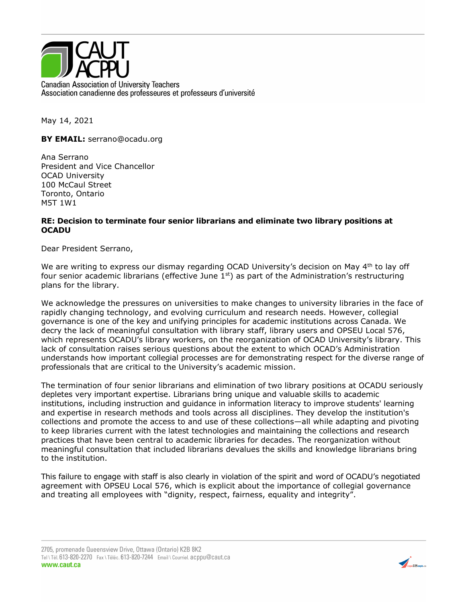

May 14, 2021

**BY EMAIL:** serrano@ocadu.org

Ana Serrano President and Vice Chancellor OCAD University 100 McCaul Street Toronto, Ontario M5T 1W1

## **RE: Decision to terminate four senior librarians and eliminate two library positions at OCADU**

Dear President Serrano,

We are writing to express our dismay regarding OCAD University's decision on May  $4<sup>th</sup>$  to lay off four senior academic librarians (effective June  $1<sup>st</sup>$ ) as part of the Administration's restructuring plans for the library.

We acknowledge the pressures on universities to make changes to university libraries in the face of rapidly changing technology, and evolving curriculum and research needs. However, collegial governance is one of the key and unifying principles for academic institutions across Canada. We decry the lack of meaningful consultation with library staff, library users and OPSEU Local 576, which represents OCADU's library workers, on the reorganization of OCAD University's library. This lack of consultation raises serious questions about the extent to which OCAD's Administration understands how important collegial processes are for demonstrating respect for the diverse range of professionals that are critical to the University's academic mission.

The termination of four senior librarians and elimination of two library positions at OCADU seriously depletes very important expertise. Librarians bring unique and valuable skills to academic institutions, including instruction and guidance in information literacy to improve students' learning and expertise in research methods and tools across all disciplines. They develop the institution's collections and promote the access to and use of these collections—all while adapting and pivoting to keep libraries current with the latest technologies and maintaining the collections and research practices that have been central to academic libraries for decades. The reorganization without meaningful consultation that included librarians devalues the skills and knowledge librarians bring to the institution.

This failure to engage with staff is also clearly in violation of the spirit and word of OCADU's negotiated agreement with OPSEU Local 576, which is explicit about the importance of collegial governance and treating all employees with "dignity, respect, fairness, equality and integrity".

2705, promenade Queensview Drive, Ottawa (Ontario) K2B 8K2 Tel \Tél. 613-820-2270 Fax \Téléc. 613-820-7244 Email \ Courriel. acppu@caut.ca www.caut.ca